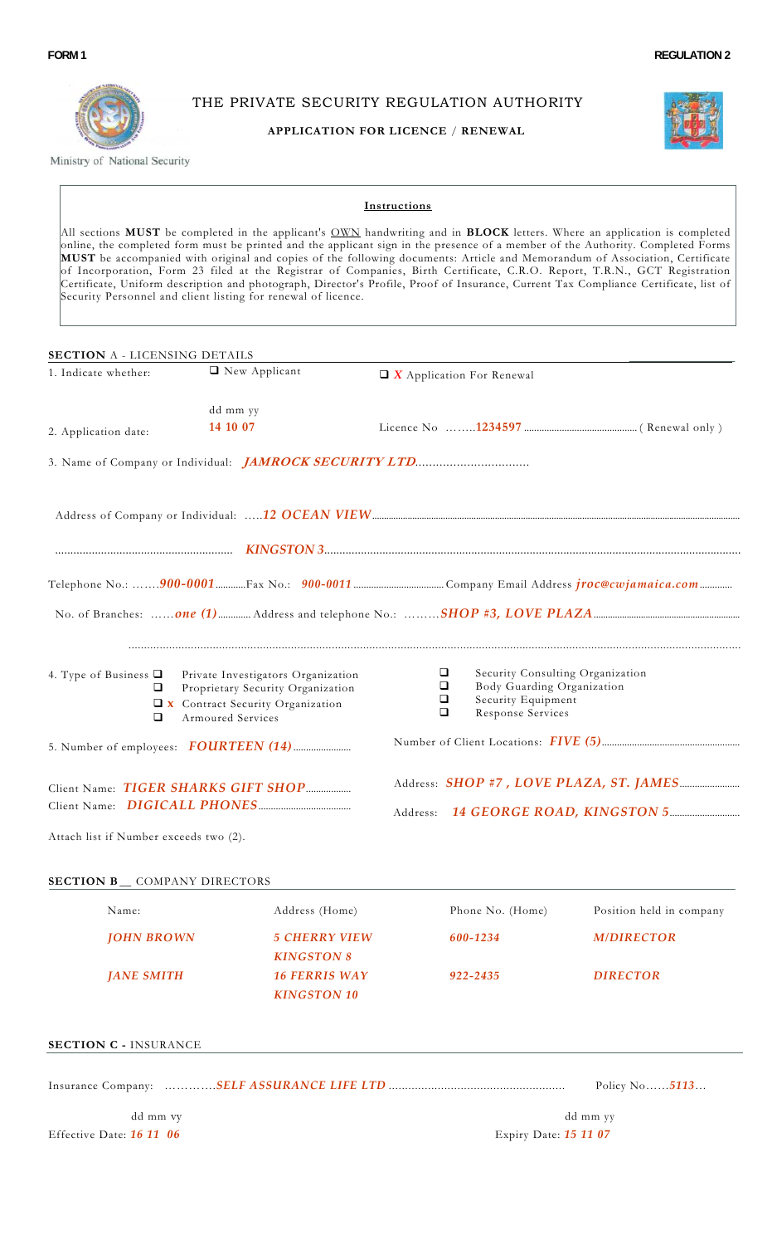

THE PRIVATE SECURITY REGULATION AUTHORITY

## **APPLICATION FOR LICENCE** / **RENEWAL**



Ministry of National Security

#### **Instructions**

All sections **MUST** be completed in the applicant's OWN handwriting and in **BLOCK** letters. Where an application is completed online, the completed form must be printed and the applicant sign in the presence of a member of the Authority. Completed Forms **MUST** be accompanied with original and copies of the following documents: Article and Memorandum of Association, Certificate of Incorporation, Form 23 filed at the Registrar of Companies, Birth Certificate, C.R.O. Report, T.R.N., GCT Registration Certificate, Uniform description and photograph, Director's Profile, Proof of Insurance, Current Tax Compliance Certificate, list of Security Personnel and client listing for renewal of licence.

| 1. Indicate whether:                   | <b>SECTION A - LICENSING DETAILS</b>                                                                                               |                                  |                                                                                                           |  |  |  |
|----------------------------------------|------------------------------------------------------------------------------------------------------------------------------------|----------------------------------|-----------------------------------------------------------------------------------------------------------|--|--|--|
|                                        | □ New Applicant                                                                                                                    | $\Box$ X Application For Renewal |                                                                                                           |  |  |  |
|                                        | dd mm yy                                                                                                                           |                                  |                                                                                                           |  |  |  |
| 2. Application date:                   | 14 10 07                                                                                                                           |                                  |                                                                                                           |  |  |  |
|                                        | 3. Name of Company or Individual: <i>JAMROCK SECURITY LTD</i>                                                                      |                                  |                                                                                                           |  |  |  |
|                                        |                                                                                                                                    |                                  |                                                                                                           |  |  |  |
|                                        |                                                                                                                                    |                                  |                                                                                                           |  |  |  |
|                                        |                                                                                                                                    |                                  |                                                                                                           |  |  |  |
|                                        |                                                                                                                                    |                                  |                                                                                                           |  |  |  |
| 4. Type of Business $\Box$<br>u<br>□   | Private Investigators Organization<br>Proprietary Security Organization<br>T x Contract Security Organization<br>Armoured Services | ⊔<br>□<br>$\Box$<br>□            | Security Consulting Organization<br>Body Guarding Organization<br>Security Equipment<br>Response Services |  |  |  |
|                                        |                                                                                                                                    |                                  |                                                                                                           |  |  |  |
|                                        | Client Name: TIGER SHARKS GIFT SHOP                                                                                                |                                  |                                                                                                           |  |  |  |
| Attach list if Number exceeds two (2). |                                                                                                                                    |                                  |                                                                                                           |  |  |  |
|                                        |                                                                                                                                    |                                  |                                                                                                           |  |  |  |
| <b>SECTION B_ COMPANY DIRECTORS</b>    |                                                                                                                                    |                                  |                                                                                                           |  |  |  |
| Name:                                  | Address (Home)                                                                                                                     | Phone No. (Home)                 |                                                                                                           |  |  |  |
| <b>JOHN BROWN</b>                      | <b>5 CHERRY VIEW</b><br><b>KINGSTON 8</b>                                                                                          | 600-1234                         | Position held in company<br><b>M/DIRECTOR</b>                                                             |  |  |  |

Insurance Company: ………….*SELF ASSURANCE LIFE LTD* ...................................................... Policy No……*5113*…

 dd mm vy dd mm yy Effective Date: *16 11 06* Expiry Date: *15 11 07*